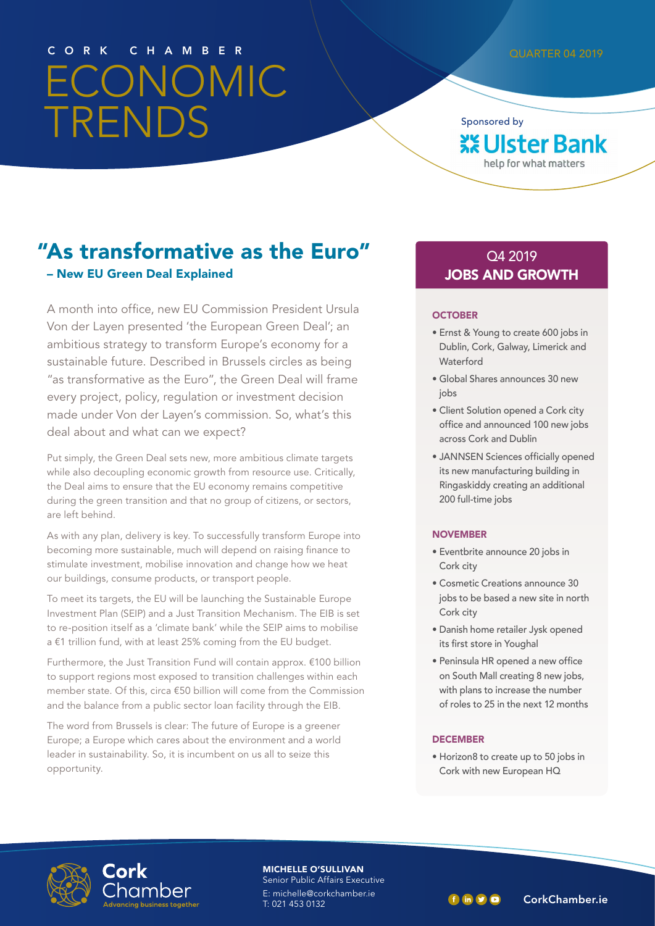# ECONOMIC TRENDS CORK CHAMBER QUARTER 04 2019

Sponsored by **XX Ulster Bank** help for what matters

# "As transformative as the Euro" – New EU Green Deal Explained

A month into office, new EU Commission President Ursula Von der Layen presented 'the European Green Deal'; an ambitious strategy to transform Europe's economy for a sustainable future. Described in Brussels circles as being "as transformative as the Euro", the Green Deal will frame every project, policy, regulation or investment decision made under Von der Layen's commission. So, what's this deal about and what can we expect?

Put simply, the Green Deal sets new, more ambitious climate targets while also decoupling economic growth from resource use. Critically, the Deal aims to ensure that the EU economy remains competitive during the green transition and that no group of citizens, or sectors, are left behind.

As with any plan, delivery is key. To successfully transform Europe into becoming more sustainable, much will depend on raising finance to stimulate investment, mobilise innovation and change how we heat our buildings, consume products, or transport people.

To meet its targets, the EU will be launching the Sustainable Europe Investment Plan (SEIP) and a Just Transition Mechanism. The EIB is set to re-position itself as a 'climate bank' while the SEIP aims to mobilise a €1 trillion fund, with at least 25% coming from the EU budget.

Furthermore, the Just Transition Fund will contain approx. €100 billion to support regions most exposed to transition challenges within each member state. Of this, circa €50 billion will come from the Commission and the balance from a public sector loan facility through the EIB.

The word from Brussels is clear: The future of Europe is a greener Europe; a Europe which cares about the environment and a world leader in sustainability. So, it is incumbent on us all to seize this opportunity.

#### Q4 2019 JOBS AND GROWTH

#### **OCTOBER**

- Ernst & Young to create 600 jobs in Dublin, Cork, Galway, Limerick and Waterford
- Global Shares announces 30 new jobs
- Client Solution opened a Cork city office and announced 100 new jobs across Cork and Dublin
- JANNSEN Sciences officially opened its new manufacturing building in Ringaskiddy creating an additional 200 full-time jobs

#### NOVEMBER

- Eventbrite announce 20 jobs in Cork city
- Cosmetic Creations announce 30 jobs to be based a new site in north Cork city
- Danish home retailer Jysk opened its first store in Youghal
- Peninsula HR opened a new office on South Mall creating 8 new jobs, with plans to increase the number of roles to 25 in the next 12 months

#### **DECEMBER**

• Horizon8 to create up to 50 jobs in Cork with new European HQ



MICHELLE O'SULLIVAN Senior Public Affairs Executive

E: michelle@corkchamber.ie<br>T: 021 453 0132

T: 021 453 0132 CorkChamber.ie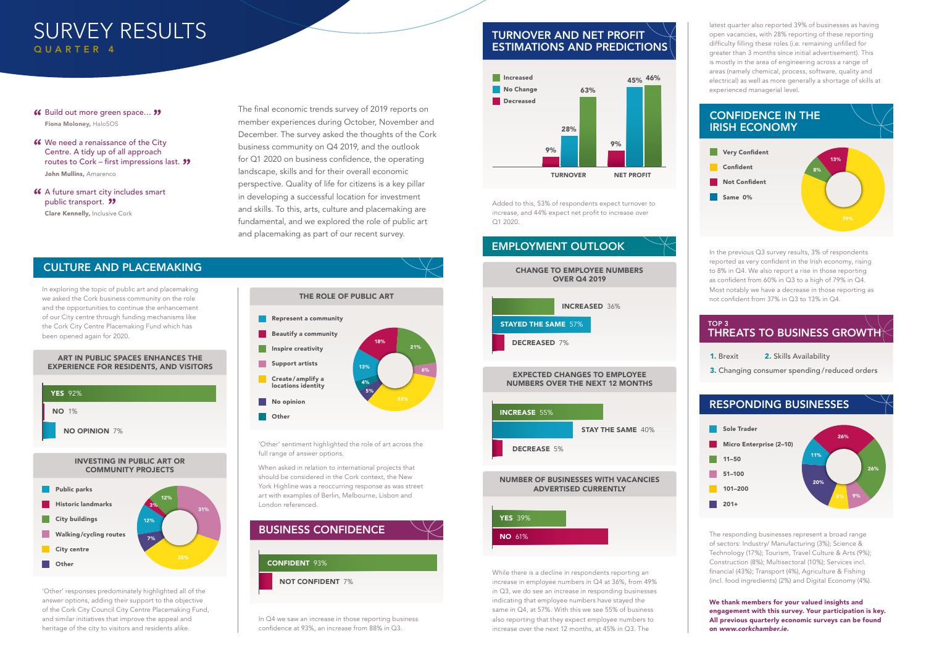#### INVESTING IN PUBLIC ART OR COMMUNITY PROJECTS

# RESPONDING BUSINESSES

#### ART IN PUBLIC SPACES ENHANCES THE EXPERIENCE FOR RESIDENTS, AND VISITORS

# TURNOVER AND NET PROFIT ESTIMATIONS AND PREDICTIONS

#### **46** Build out more green space... **33**<br>Fina Moloney HaloSOS Fiona Moloney, HaloSOS



- **46** We need a renaissance of the City<br>Centre. A tidy up of all approach Centre. A tidy up of all approach routes to Cork – first impressions last. **''** John Mullins, Amarenco
- **46** A future smart city includes smart<br>
public transport. **99** public transport. **''** Clare Kennelly, Inclusive Cork



#### CONFIDENCE IN THE IRISH ECONOMY



1. Brexit



3. Changing consumer spending /reduced orders

#### TOP 3 THREATS TO BUSINESS GROWTH



# SURVEY RESULTS QUARTER 4





In Q4 we saw an increase in those reporting business confidence at 93%, an increase from 88% in Q3.

The final economic trends survey of 2019 reports on member experiences during October, November and December. The survey asked the thoughts of the Cork business community on Q4 2019, and the outlook for Q1 2020 on business confidence, the operating landscape, skills and for their overall economic perspective. Quality of life for citizens is a key pillar in developing a successful location for investment and skills. To this, arts, culture and placemaking are fundamental, and we explored the role of public art and placemaking as part of our recent survey.

> In the previous Q3 survey results, 3% of respondents reported as very confident in the Irish economy, rising to 8% in Q4. We also report a rise in those reporting as confident from 60% in Q3 to a high of 79% in Q4. Most notably we have a decrease in those reporting as not confident from 37% in Q3 to 13% in Q4.

In exploring the topic of public art and placemaking we asked the Cork business community on the role and the opportunities to continue the enhancement of our City centre through funding mechanisms like the Cork City Centre Placemaking Fund which has been opened again for 2020.

### CULTURE AND PLACEMAKING

2. Skills Availability

'Other' responses predominately highlighted all of the answer options, adding their support to the objective of the Cork City Council City Centre Placemaking Fund, and similar initiatives that improve the appeal and heritage of the city to visitors and residents alike.

'Other' sentiment highlighted the role of art across the full range of answer options.

When asked in relation to international projects that should be considered in the Cork context, the New York Highline was a reoccurring response as was street art with examples of Berlin, Melbourne, Lisbon and London referenced.



Added to this, 53% of respondents expect turnover to increase, and 44% expect net profit to increase over Q1 2020.

While there is a decline in respondents reporting an increase in employee numbers in Q4 at 36%, from 49% in Q3, we do see an increase in responding businesses indicating that employee numbers have stayed the same in Q4, at 57%. With this we see 55% of business also reporting that they expect employee numbers to increase over the next 12 months, at 45% in Q3. The

latest quarter also reported 39% of businesses as having open vacancies, with 28% reporting of these reporting difficulty filling these roles (i.e. remaining unfilled for greater than 3 months since initial advertisement). This is mostly in the area of engineering across a range of areas (namely chemical, process, software, quality and electrical) as well as more generally a shortage of skills at experienced managerial level.

The responding businesses represent a broad range of sectors: Industry/ Manufacturing (3%); Science & Technology (17%); Tourism, Travel Culture & Arts (9%); Construction (8%); Multisectoral (10%); Services incl. financial (43%); Transport (4%), Agriculture & Fishing (incl. food ingredients) (2%) and Digital Economy (4%).

We thank members for your valued insights and engagement with this survey. Your participation is key. All previous quarterly economic surveys can be found on www.corkchamber.ie.